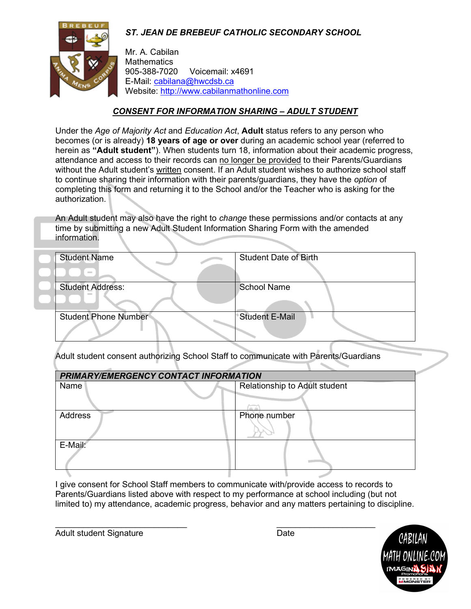# ST. JEAN DE BREBEUF CATHOLIC SECONDARY SCHOOL



Mr. A. Cabilan **Mathematics** 905-388-7020 Voicemail: x4691 E-Mail: cabilana@hwcdsb.ca Website: http://www.cabilanmathonline.com

### CONSENT FOR INFORMATION SHARING – ADULT STUDENT

Under the Age of Majority Act and Education Act, Adult status refers to any person who becomes (or is already) 18 years of age or over during an academic school year (referred to herein as "Adult student"). When students turn 18, information about their academic progress, attendance and access to their records can no longer be provided to their Parents/Guardians without the Adult student's written consent. If an Adult student wishes to authorize school staff to continue sharing their information with their parents/guardians, they have the *option* of completing this form and returning it to the School and/or the Teacher who is asking for the authorization.

An Adult student may also have the right to *change* these permissions and/or contacts at any time by submitting a new Adult Student Information Sharing Form with the amended information.

| <b>Student Name</b>         | <b>Student Date of Birth</b> |
|-----------------------------|------------------------------|
| $\sim$                      |                              |
| <b>Student Address:</b>     | <b>School Name</b>           |
|                             |                              |
| <b>Student Phone Number</b> | <b>Student E-Mail</b>        |
|                             |                              |

Adult student consent authorizing School Staff to communicate with Parents/Guardians

| PRIMARY/EMERGENCY CONTACT INFORMATION |                               |  |
|---------------------------------------|-------------------------------|--|
| Name                                  | Relationship to Adult student |  |
| <b>Address</b>                        | Phone number                  |  |
| E-Mail:                               |                               |  |

I give consent for School Staff members to communicate with/provide access to records to Parents/Guardians listed above with respect to my performance at school including (but not limited to) my attendance, academic progress, behavior and any matters pertaining to discipline.

Adult student Signature Date